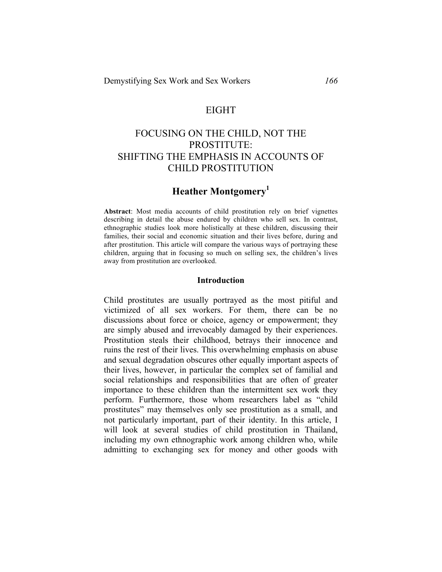### EIGHT

# FOCUSING ON THE CHILD, NOT THE PROSTITUTE: SHIFTING THE EMPHASIS IN ACCOUNTS OF CHILD PROSTITUTION

# **Heather Montgomery<sup>1</sup>**

**Abstract**: Most media accounts of child prostitution rely on brief vignettes describing in detail the abuse endured by children who sell sex. In contrast, ethnographic studies look more holistically at these children, discussing their families, their social and economic situation and their lives before, during and after prostitution. This article will compare the various ways of portraying these children, arguing that in focusing so much on selling sex, the children's lives away from prostitution are overlooked.

#### **Introduction**

Child prostitutes are usually portrayed as the most pitiful and victimized of all sex workers. For them, there can be no discussions about force or choice, agency or empowerment; they are simply abused and irrevocably damaged by their experiences. Prostitution steals their childhood, betrays their innocence and ruins the rest of their lives. This overwhelming emphasis on abuse and sexual degradation obscures other equally important aspects of their lives, however, in particular the complex set of familial and social relationships and responsibilities that are often of greater importance to these children than the intermittent sex work they perform. Furthermore, those whom researchers label as "child prostitutes" may themselves only see prostitution as a small, and not particularly important, part of their identity. In this article, I will look at several studies of child prostitution in Thailand, including my own ethnographic work among children who, while admitting to exchanging sex for money and other goods with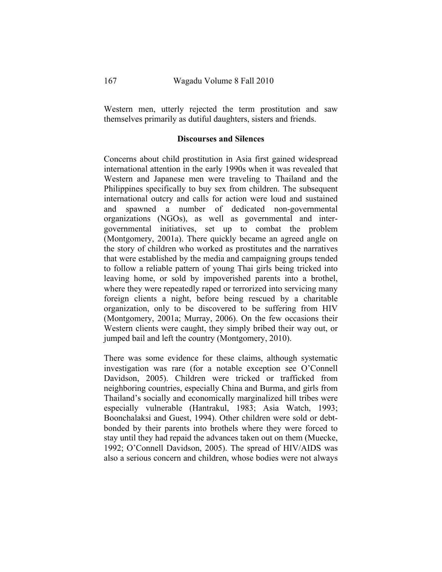Western men, utterly rejected the term prostitution and saw themselves primarily as dutiful daughters, sisters and friends.

#### **Discourses and Silences**

Concerns about child prostitution in Asia first gained widespread international attention in the early 1990s when it was revealed that Western and Japanese men were traveling to Thailand and the Philippines specifically to buy sex from children. The subsequent international outcry and calls for action were loud and sustained and spawned a number of dedicated non-governmental organizations (NGOs), as well as governmental and intergovernmental initiatives, set up to combat the problem (Montgomery, 2001a). There quickly became an agreed angle on the story of children who worked as prostitutes and the narratives that were established by the media and campaigning groups tended to follow a reliable pattern of young Thai girls being tricked into leaving home, or sold by impoverished parents into a brothel, where they were repeatedly raped or terrorized into servicing many foreign clients a night, before being rescued by a charitable organization, only to be discovered to be suffering from HIV (Montgomery, 2001a; Murray, 2006). On the few occasions their Western clients were caught, they simply bribed their way out, or jumped bail and left the country (Montgomery, 2010).

There was some evidence for these claims, although systematic investigation was rare (for a notable exception see O'Connell Davidson, 2005). Children were tricked or trafficked from neighboring countries, especially China and Burma, and girls from Thailand's socially and economically marginalized hill tribes were especially vulnerable (Hantrakul, 1983; Asia Watch, 1993; Boonchalaksi and Guest, 1994). Other children were sold or debtbonded by their parents into brothels where they were forced to stay until they had repaid the advances taken out on them (Muecke, 1992; O'Connell Davidson, 2005). The spread of HIV/AIDS was also a serious concern and children, whose bodies were not always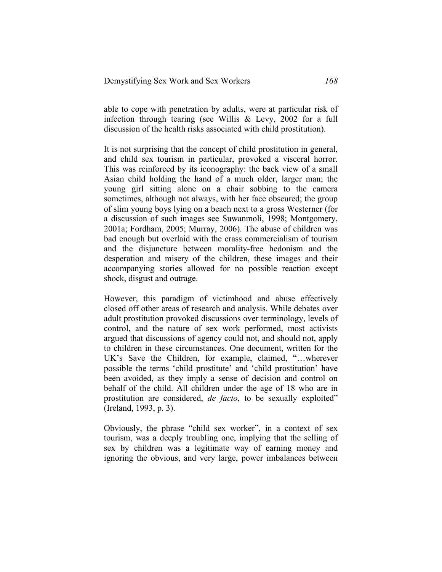able to cope with penetration by adults, were at particular risk of infection through tearing (see Willis & Levy, 2002 for a full discussion of the health risks associated with child prostitution).

It is not surprising that the concept of child prostitution in general, and child sex tourism in particular, provoked a visceral horror. This was reinforced by its iconography: the back view of a small Asian child holding the hand of a much older, larger man; the young girl sitting alone on a chair sobbing to the camera sometimes, although not always, with her face obscured; the group of slim young boys lying on a beach next to a gross Westerner (for a discussion of such images see Suwanmoli, 1998; Montgomery, 2001a; Fordham, 2005; Murray, 2006). The abuse of children was bad enough but overlaid with the crass commercialism of tourism and the disjuncture between morality-free hedonism and the desperation and misery of the children, these images and their accompanying stories allowed for no possible reaction except shock, disgust and outrage.

However, this paradigm of victimhood and abuse effectively closed off other areas of research and analysis. While debates over adult prostitution provoked discussions over terminology, levels of control, and the nature of sex work performed, most activists argued that discussions of agency could not, and should not, apply to children in these circumstances. One document, written for the UK's Save the Children, for example, claimed, "…wherever possible the terms 'child prostitute' and 'child prostitution' have been avoided, as they imply a sense of decision and control on behalf of the child. All children under the age of 18 who are in prostitution are considered, *de facto*, to be sexually exploited" (Ireland, 1993, p. 3).

Obviously, the phrase "child sex worker", in a context of sex tourism, was a deeply troubling one, implying that the selling of sex by children was a legitimate way of earning money and ignoring the obvious, and very large, power imbalances between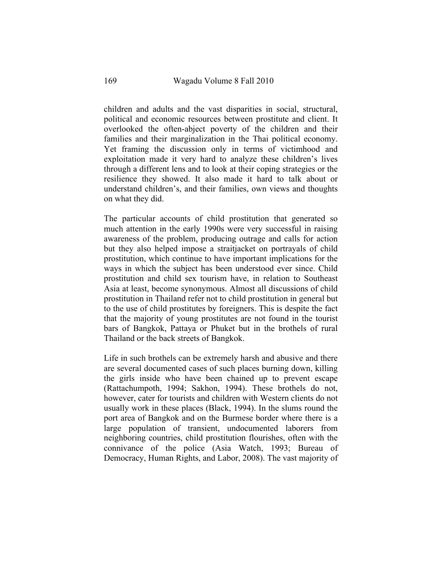children and adults and the vast disparities in social, structural, political and economic resources between prostitute and client. It overlooked the often-abject poverty of the children and their families and their marginalization in the Thai political economy. Yet framing the discussion only in terms of victimhood and exploitation made it very hard to analyze these children's lives through a different lens and to look at their coping strategies or the resilience they showed. It also made it hard to talk about or understand children's, and their families, own views and thoughts on what they did.

The particular accounts of child prostitution that generated so much attention in the early 1990s were very successful in raising awareness of the problem, producing outrage and calls for action but they also helped impose a straitjacket on portrayals of child prostitution, which continue to have important implications for the ways in which the subject has been understood ever since. Child prostitution and child sex tourism have, in relation to Southeast Asia at least, become synonymous. Almost all discussions of child prostitution in Thailand refer not to child prostitution in general but to the use of child prostitutes by foreigners. This is despite the fact that the majority of young prostitutes are not found in the tourist bars of Bangkok, Pattaya or Phuket but in the brothels of rural Thailand or the back streets of Bangkok.

Life in such brothels can be extremely harsh and abusive and there are several documented cases of such places burning down, killing the girls inside who have been chained up to prevent escape (Rattachumpoth, 1994; Sakhon, 1994). These brothels do not, however, cater for tourists and children with Western clients do not usually work in these places (Black, 1994). In the slums round the port area of Bangkok and on the Burmese border where there is a large population of transient, undocumented laborers from neighboring countries, child prostitution flourishes, often with the connivance of the police (Asia Watch, 1993; Bureau of Democracy, Human Rights, and Labor, 2008). The vast majority of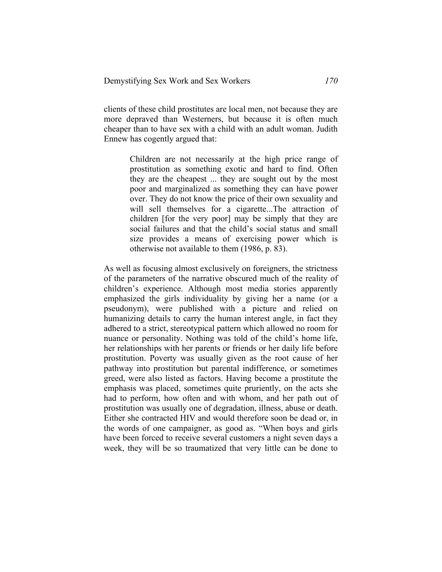clients of these child prostitutes are local men, not because they are more depraved than Westerners, but because it is often much cheaper than to have sex with a child with an adult woman. Judith Ennew has cogently argued that:

> Children are not necessarily at the high price range of prostitution as something exotic and hard to find. Often they are the cheapest ... they are sought out by the most poor and marginalized as something they can have power over. They do not know the price of their own sexuality and will sell themselves for a cigarette...The attraction of children [for the very poor] may be simply that they are social failures and that the child's social status and small size provides a means of exercising power which is otherwise not available to them (1986, p. 83).

As well as focusing almost exclusively on foreigners, the strictness of the parameters of the narrative obscured much of the reality of children's experience. Although most media stories apparently emphasized the girls individuality by giving her a name (or a pseudonym), were published with a picture and relied on humanizing details to carry the human interest angle, in fact they adhered to a strict, stereotypical pattern which allowed no room for nuance or personality. Nothing was told of the child's home life, her relationships with her parents or friends or her daily life before prostitution. Poverty was usually given as the root cause of her pathway into prostitution but parental indifference, or sometimes greed, were also listed as factors. Having become a prostitute the emphasis was placed, sometimes quite pruriently, on the acts she had to perform, how often and with whom, and her path out of prostitution was usually one of degradation, illness, abuse or death. Either she contracted HIV and would therefore soon be dead or, in the words of one campaigner, as good as. "When boys and girls have been forced to receive several customers a night seven days a week, they will be so traumatized that very little can be done to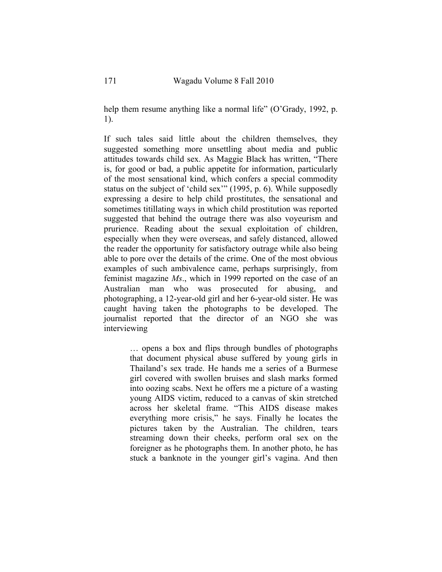help them resume anything like a normal life" (O'Grady, 1992, p. 1).

If such tales said little about the children themselves, they suggested something more unsettling about media and public attitudes towards child sex. As Maggie Black has written, "There is, for good or bad, a public appetite for information, particularly of the most sensational kind, which confers a special commodity status on the subject of 'child sex'" (1995, p. 6). While supposedly expressing a desire to help child prostitutes, the sensational and sometimes titillating ways in which child prostitution was reported suggested that behind the outrage there was also voyeurism and prurience. Reading about the sexual exploitation of children, especially when they were overseas, and safely distanced, allowed the reader the opportunity for satisfactory outrage while also being able to pore over the details of the crime. One of the most obvious examples of such ambivalence came, perhaps surprisingly, from feminist magazine *Ms*., which in 1999 reported on the case of an Australian man who was prosecuted for abusing, and photographing, a 12-year-old girl and her 6-year-old sister. He was caught having taken the photographs to be developed. The journalist reported that the director of an NGO she was interviewing

> … opens a box and flips through bundles of photographs that document physical abuse suffered by young girls in Thailand's sex trade. He hands me a series of a Burmese girl covered with swollen bruises and slash marks formed into oozing scabs. Next he offers me a picture of a wasting young AIDS victim, reduced to a canvas of skin stretched across her skeletal frame. "This AIDS disease makes everything more crisis," he says. Finally he locates the pictures taken by the Australian. The children, tears streaming down their cheeks, perform oral sex on the foreigner as he photographs them. In another photo, he has stuck a banknote in the younger girl's vagina. And then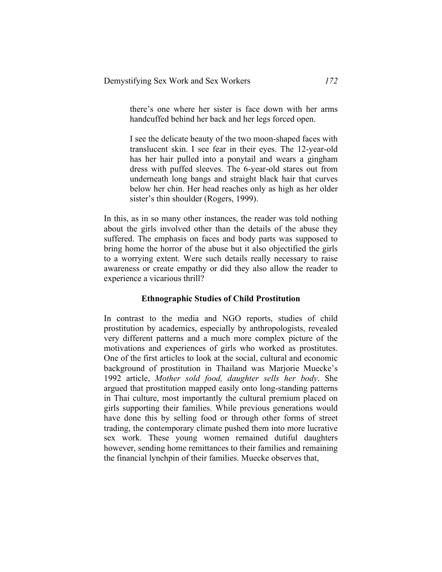there's one where her sister is face down with her arms handcuffed behind her back and her legs forced open.

I see the delicate beauty of the two moon-shaped faces with translucent skin. I see fear in their eyes. The 12-year-old has her hair pulled into a ponytail and wears a gingham dress with puffed sleeves. The 6-year-old stares out from underneath long bangs and straight black hair that curves below her chin. Her head reaches only as high as her older sister's thin shoulder (Rogers, 1999).

In this, as in so many other instances, the reader was told nothing about the girls involved other than the details of the abuse they suffered. The emphasis on faces and body parts was supposed to bring home the horror of the abuse but it also objectified the girls to a worrying extent. Were such details really necessary to raise awareness or create empathy or did they also allow the reader to experience a vicarious thrill?

#### **Ethnographic Studies of Child Prostitution**

In contrast to the media and NGO reports, studies of child prostitution by academics, especially by anthropologists, revealed very different patterns and a much more complex picture of the motivations and experiences of girls who worked as prostitutes. One of the first articles to look at the social, cultural and economic background of prostitution in Thailand was Marjorie Muecke's 1992 article, *Mother sold food, daughter sells her body*. She argued that prostitution mapped easily onto long-standing patterns in Thai culture, most importantly the cultural premium placed on girls supporting their families. While previous generations would have done this by selling food or through other forms of street trading, the contemporary climate pushed them into more lucrative sex work. These young women remained dutiful daughters however, sending home remittances to their families and remaining the financial lynchpin of their families. Muecke observes that,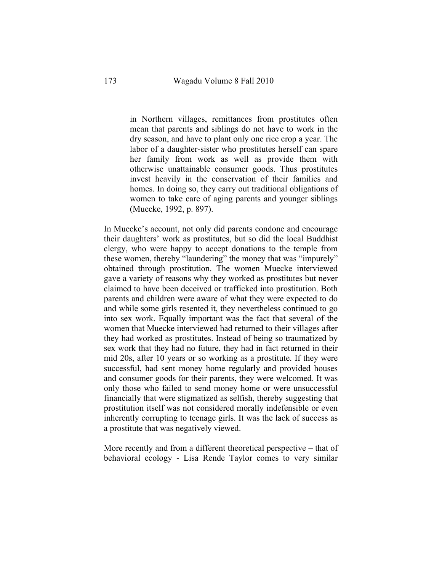in Northern villages, remittances from prostitutes often mean that parents and siblings do not have to work in the dry season, and have to plant only one rice crop a year. The labor of a daughter-sister who prostitutes herself can spare her family from work as well as provide them with otherwise unattainable consumer goods. Thus prostitutes invest heavily in the conservation of their families and homes. In doing so, they carry out traditional obligations of women to take care of aging parents and younger siblings (Muecke, 1992, p. 897).

In Muecke's account, not only did parents condone and encourage their daughters' work as prostitutes, but so did the local Buddhist clergy, who were happy to accept donations to the temple from these women, thereby "laundering" the money that was "impurely" obtained through prostitution. The women Muecke interviewed gave a variety of reasons why they worked as prostitutes but never claimed to have been deceived or trafficked into prostitution. Both parents and children were aware of what they were expected to do and while some girls resented it, they nevertheless continued to go into sex work. Equally important was the fact that several of the women that Muecke interviewed had returned to their villages after they had worked as prostitutes. Instead of being so traumatized by sex work that they had no future, they had in fact returned in their mid 20s, after 10 years or so working as a prostitute. If they were successful, had sent money home regularly and provided houses and consumer goods for their parents, they were welcomed. It was only those who failed to send money home or were unsuccessful financially that were stigmatized as selfish, thereby suggesting that prostitution itself was not considered morally indefensible or even inherently corrupting to teenage girls. It was the lack of success as a prostitute that was negatively viewed.

More recently and from a different theoretical perspective – that of behavioral ecology - Lisa Rende Taylor comes to very similar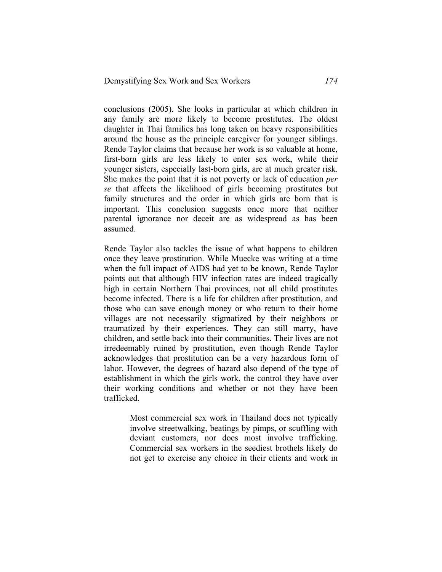conclusions (2005). She looks in particular at which children in any family are more likely to become prostitutes. The oldest daughter in Thai families has long taken on heavy responsibilities around the house as the principle caregiver for younger siblings. Rende Taylor claims that because her work is so valuable at home, first-born girls are less likely to enter sex work, while their younger sisters, especially last-born girls, are at much greater risk. She makes the point that it is not poverty or lack of education *per se* that affects the likelihood of girls becoming prostitutes but family structures and the order in which girls are born that is important. This conclusion suggests once more that neither parental ignorance nor deceit are as widespread as has been assumed.

Rende Taylor also tackles the issue of what happens to children once they leave prostitution. While Muecke was writing at a time when the full impact of AIDS had yet to be known, Rende Taylor points out that although HIV infection rates are indeed tragically high in certain Northern Thai provinces, not all child prostitutes become infected. There is a life for children after prostitution, and those who can save enough money or who return to their home villages are not necessarily stigmatized by their neighbors or traumatized by their experiences. They can still marry, have children, and settle back into their communities. Their lives are not irredeemably ruined by prostitution, even though Rende Taylor acknowledges that prostitution can be a very hazardous form of labor. However, the degrees of hazard also depend of the type of establishment in which the girls work, the control they have over their working conditions and whether or not they have been trafficked.

> Most commercial sex work in Thailand does not typically involve streetwalking, beatings by pimps, or scuffling with deviant customers, nor does most involve trafficking. Commercial sex workers in the seediest brothels likely do not get to exercise any choice in their clients and work in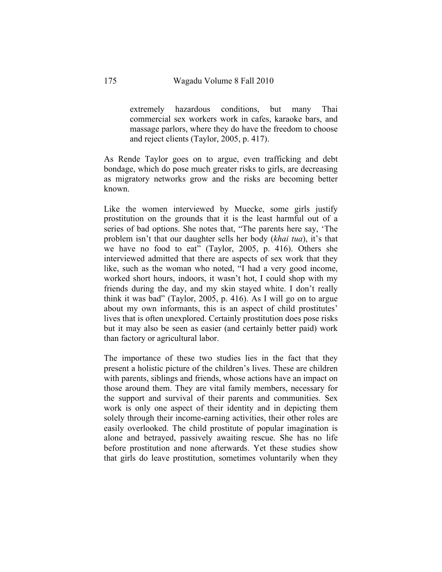extremely hazardous conditions, but many Thai commercial sex workers work in cafes, karaoke bars, and massage parlors, where they do have the freedom to choose and reject clients (Taylor, 2005, p. 417).

As Rende Taylor goes on to argue, even trafficking and debt bondage, which do pose much greater risks to girls, are decreasing as migratory networks grow and the risks are becoming better known.

Like the women interviewed by Muecke, some girls justify prostitution on the grounds that it is the least harmful out of a series of bad options. She notes that, "The parents here say, 'The problem isn't that our daughter sells her body (*khai tua*), it's that we have no food to eat" (Taylor, 2005, p. 416). Others she interviewed admitted that there are aspects of sex work that they like, such as the woman who noted, "I had a very good income, worked short hours, indoors, it wasn't hot, I could shop with my friends during the day, and my skin stayed white. I don't really think it was bad" (Taylor, 2005, p. 416). As I will go on to argue about my own informants, this is an aspect of child prostitutes' lives that is often unexplored. Certainly prostitution does pose risks but it may also be seen as easier (and certainly better paid) work than factory or agricultural labor.

The importance of these two studies lies in the fact that they present a holistic picture of the children's lives. These are children with parents, siblings and friends, whose actions have an impact on those around them. They are vital family members, necessary for the support and survival of their parents and communities. Sex work is only one aspect of their identity and in depicting them solely through their income-earning activities, their other roles are easily overlooked. The child prostitute of popular imagination is alone and betrayed, passively awaiting rescue. She has no life before prostitution and none afterwards. Yet these studies show that girls do leave prostitution, sometimes voluntarily when they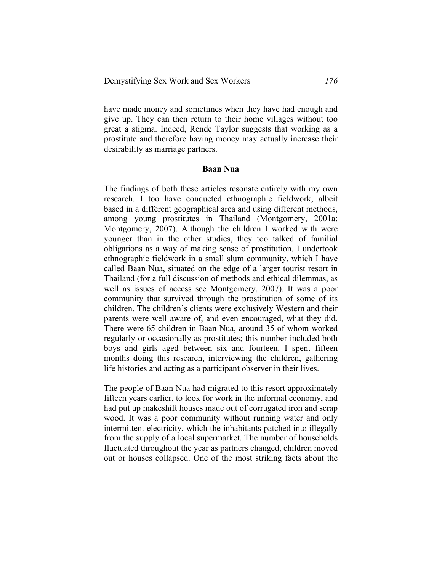have made money and sometimes when they have had enough and give up. They can then return to their home villages without too great a stigma. Indeed, Rende Taylor suggests that working as a prostitute and therefore having money may actually increase their desirability as marriage partners.

#### **Baan Nua**

The findings of both these articles resonate entirely with my own research. I too have conducted ethnographic fieldwork, albeit based in a different geographical area and using different methods, among young prostitutes in Thailand (Montgomery, 2001a; Montgomery, 2007). Although the children I worked with were younger than in the other studies, they too talked of familial obligations as a way of making sense of prostitution. I undertook ethnographic fieldwork in a small slum community, which I have called Baan Nua, situated on the edge of a larger tourist resort in Thailand (for a full discussion of methods and ethical dilemmas, as well as issues of access see Montgomery, 2007). It was a poor community that survived through the prostitution of some of its children. The children's clients were exclusively Western and their parents were well aware of, and even encouraged, what they did. There were 65 children in Baan Nua, around 35 of whom worked regularly or occasionally as prostitutes; this number included both boys and girls aged between six and fourteen. I spent fifteen months doing this research, interviewing the children, gathering life histories and acting as a participant observer in their lives.

The people of Baan Nua had migrated to this resort approximately fifteen years earlier, to look for work in the informal economy, and had put up makeshift houses made out of corrugated iron and scrap wood. It was a poor community without running water and only intermittent electricity, which the inhabitants patched into illegally from the supply of a local supermarket. The number of households fluctuated throughout the year as partners changed, children moved out or houses collapsed. One of the most striking facts about the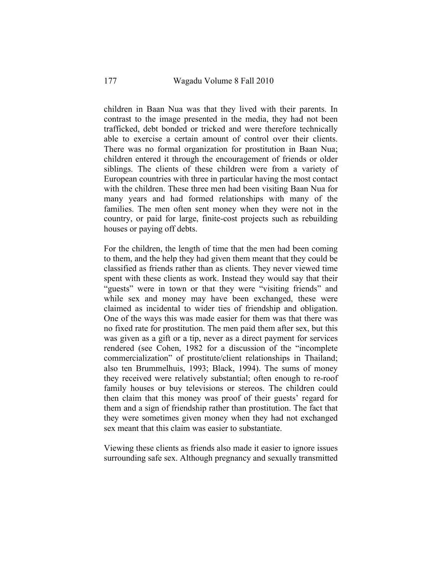children in Baan Nua was that they lived with their parents. In contrast to the image presented in the media, they had not been trafficked, debt bonded or tricked and were therefore technically able to exercise a certain amount of control over their clients. There was no formal organization for prostitution in Baan Nua; children entered it through the encouragement of friends or older siblings. The clients of these children were from a variety of European countries with three in particular having the most contact with the children. These three men had been visiting Baan Nua for many years and had formed relationships with many of the families. The men often sent money when they were not in the country, or paid for large, finite-cost projects such as rebuilding houses or paying off debts.

For the children, the length of time that the men had been coming to them, and the help they had given them meant that they could be classified as friends rather than as clients. They never viewed time spent with these clients as work. Instead they would say that their "guests" were in town or that they were "visiting friends" and while sex and money may have been exchanged, these were claimed as incidental to wider ties of friendship and obligation. One of the ways this was made easier for them was that there was no fixed rate for prostitution. The men paid them after sex, but this was given as a gift or a tip, never as a direct payment for services rendered (see Cohen, 1982 for a discussion of the "incomplete commercialization" of prostitute/client relationships in Thailand; also ten Brummelhuis, 1993; Black, 1994). The sums of money they received were relatively substantial; often enough to re-roof family houses or buy televisions or stereos. The children could then claim that this money was proof of their guests' regard for them and a sign of friendship rather than prostitution. The fact that they were sometimes given money when they had not exchanged sex meant that this claim was easier to substantiate.

Viewing these clients as friends also made it easier to ignore issues surrounding safe sex. Although pregnancy and sexually transmitted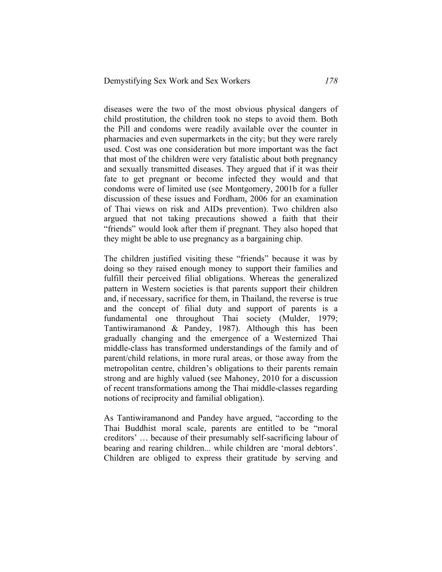diseases were the two of the most obvious physical dangers of child prostitution, the children took no steps to avoid them. Both the Pill and condoms were readily available over the counter in pharmacies and even supermarkets in the city; but they were rarely used. Cost was one consideration but more important was the fact that most of the children were very fatalistic about both pregnancy and sexually transmitted diseases. They argued that if it was their fate to get pregnant or become infected they would and that condoms were of limited use (see Montgomery, 2001b for a fuller discussion of these issues and Fordham, 2006 for an examination of Thai views on risk and AIDs prevention). Two children also argued that not taking precautions showed a faith that their "friends" would look after them if pregnant. They also hoped that they might be able to use pregnancy as a bargaining chip.

The children justified visiting these "friends" because it was by doing so they raised enough money to support their families and fulfill their perceived filial obligations. Whereas the generalized pattern in Western societies is that parents support their children and, if necessary, sacrifice for them, in Thailand, the reverse is true and the concept of filial duty and support of parents is a fundamental one throughout Thai society (Mulder, 1979; Tantiwiramanond & Pandey, 1987). Although this has been gradually changing and the emergence of a Westernized Thai middle-class has transformed understandings of the family and of parent/child relations, in more rural areas, or those away from the metropolitan centre, children's obligations to their parents remain strong and are highly valued (see Mahoney, 2010 for a discussion of recent transformations among the Thai middle-classes regarding notions of reciprocity and familial obligation).

As Tantiwiramanond and Pandey have argued, "according to the Thai Buddhist moral scale, parents are entitled to be "moral creditors' … because of their presumably self-sacrificing labour of bearing and rearing children... while children are 'moral debtors'. Children are obliged to express their gratitude by serving and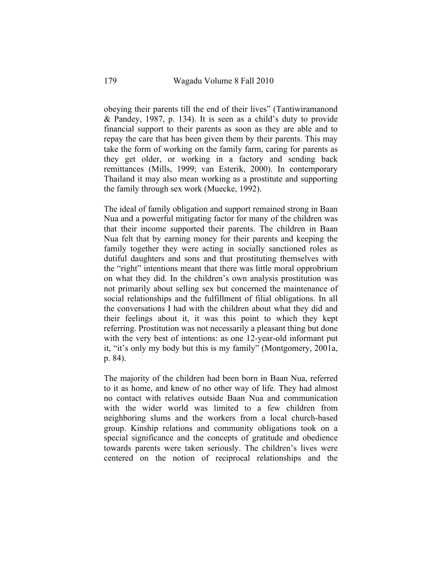obeying their parents till the end of their lives" (Tantiwiramanond & Pandey, 1987, p. 134). It is seen as a child's duty to provide financial support to their parents as soon as they are able and to repay the care that has been given them by their parents. This may take the form of working on the family farm, caring for parents as they get older, or working in a factory and sending back remittances (Mills, 1999; van Esterik, 2000). In contemporary Thailand it may also mean working as a prostitute and supporting the family through sex work (Muecke, 1992).

The ideal of family obligation and support remained strong in Baan Nua and a powerful mitigating factor for many of the children was that their income supported their parents. The children in Baan Nua felt that by earning money for their parents and keeping the family together they were acting in socially sanctioned roles as dutiful daughters and sons and that prostituting themselves with the "right" intentions meant that there was little moral opprobrium on what they did. In the children's own analysis prostitution was not primarily about selling sex but concerned the maintenance of social relationships and the fulfillment of filial obligations. In all the conversations I had with the children about what they did and their feelings about it, it was this point to which they kept referring. Prostitution was not necessarily a pleasant thing but done with the very best of intentions: as one 12-year-old informant put it, "it's only my body but this is my family" (Montgomery, 2001a, p. 84).

The majority of the children had been born in Baan Nua, referred to it as home, and knew of no other way of life. They had almost no contact with relatives outside Baan Nua and communication with the wider world was limited to a few children from neighboring slums and the workers from a local church-based group. Kinship relations and community obligations took on a special significance and the concepts of gratitude and obedience towards parents were taken seriously. The children's lives were centered on the notion of reciprocal relationships and the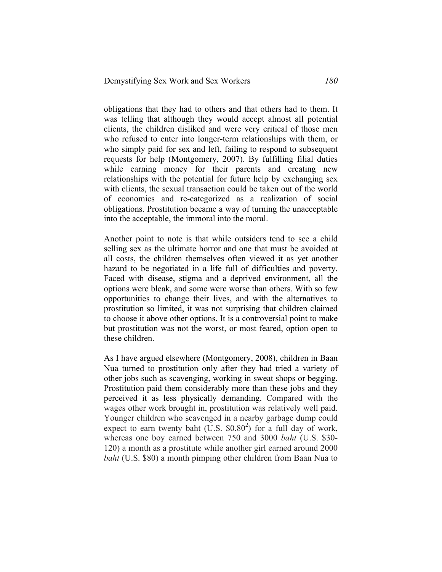obligations that they had to others and that others had to them. It was telling that although they would accept almost all potential clients, the children disliked and were very critical of those men who refused to enter into longer-term relationships with them, or who simply paid for sex and left, failing to respond to subsequent requests for help (Montgomery, 2007). By fulfilling filial duties while earning money for their parents and creating new relationships with the potential for future help by exchanging sex with clients, the sexual transaction could be taken out of the world of economics and re-categorized as a realization of social obligations. Prostitution became a way of turning the unacceptable into the acceptable, the immoral into the moral.

Another point to note is that while outsiders tend to see a child selling sex as the ultimate horror and one that must be avoided at all costs, the children themselves often viewed it as yet another hazard to be negotiated in a life full of difficulties and poverty. Faced with disease, stigma and a deprived environment, all the options were bleak, and some were worse than others. With so few opportunities to change their lives, and with the alternatives to prostitution so limited, it was not surprising that children claimed to choose it above other options. It is a controversial point to make but prostitution was not the worst, or most feared, option open to these children.

As I have argued elsewhere (Montgomery, 2008), children in Baan Nua turned to prostitution only after they had tried a variety of other jobs such as scavenging, working in sweat shops or begging. Prostitution paid them considerably more than these jobs and they perceived it as less physically demanding. Compared with the wages other work brought in, prostitution was relatively well paid. Younger children who scavenged in a nearby garbage dump could expect to earn twenty baht  $(U.S. $0.80^2)$  for a full day of work, whereas one boy earned between 750 and 3000 *baht* (U.S. \$30- 120) a month as a prostitute while another girl earned around 2000 *baht* (U.S. \$80) a month pimping other children from Baan Nua to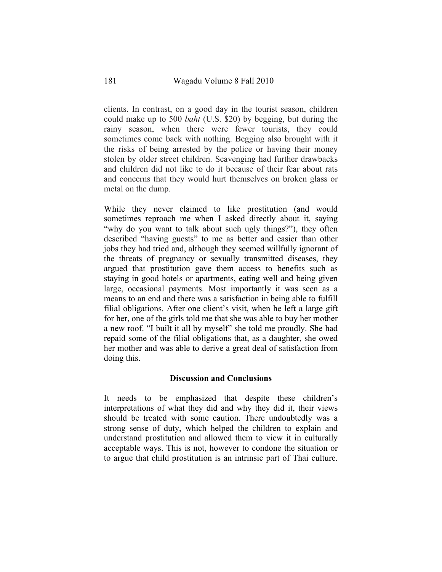clients. In contrast, on a good day in the tourist season, children could make up to 500 *baht* (U.S. \$20) by begging, but during the rainy season, when there were fewer tourists, they could sometimes come back with nothing. Begging also brought with it the risks of being arrested by the police or having their money stolen by older street children. Scavenging had further drawbacks and children did not like to do it because of their fear about rats and concerns that they would hurt themselves on broken glass or metal on the dump.

While they never claimed to like prostitution (and would sometimes reproach me when I asked directly about it, saying "why do you want to talk about such ugly things?"), they often described "having guests" to me as better and easier than other jobs they had tried and, although they seemed willfully ignorant of the threats of pregnancy or sexually transmitted diseases, they argued that prostitution gave them access to benefits such as staying in good hotels or apartments, eating well and being given large, occasional payments. Most importantly it was seen as a means to an end and there was a satisfaction in being able to fulfill filial obligations. After one client's visit, when he left a large gift for her, one of the girls told me that she was able to buy her mother a new roof. "I built it all by myself" she told me proudly. She had repaid some of the filial obligations that, as a daughter, she owed her mother and was able to derive a great deal of satisfaction from doing this.

#### **Discussion and Conclusions**

It needs to be emphasized that despite these children's interpretations of what they did and why they did it, their views should be treated with some caution. There undoubtedly was a strong sense of duty, which helped the children to explain and understand prostitution and allowed them to view it in culturally acceptable ways. This is not, however to condone the situation or to argue that child prostitution is an intrinsic part of Thai culture.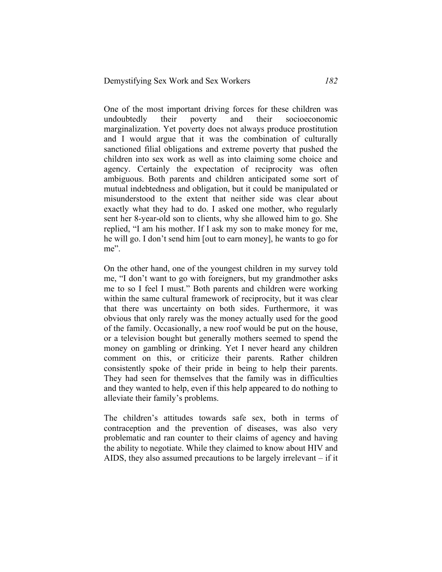One of the most important driving forces for these children was undoubtedly their poverty and their socioeconomic marginalization. Yet poverty does not always produce prostitution and I would argue that it was the combination of culturally sanctioned filial obligations and extreme poverty that pushed the children into sex work as well as into claiming some choice and agency. Certainly the expectation of reciprocity was often ambiguous. Both parents and children anticipated some sort of mutual indebtedness and obligation, but it could be manipulated or misunderstood to the extent that neither side was clear about exactly what they had to do. I asked one mother, who regularly sent her 8-year-old son to clients, why she allowed him to go. She replied, "I am his mother. If I ask my son to make money for me, he will go. I don't send him [out to earn money], he wants to go for me".

On the other hand, one of the youngest children in my survey told me, "I don't want to go with foreigners, but my grandmother asks me to so I feel I must." Both parents and children were working within the same cultural framework of reciprocity, but it was clear that there was uncertainty on both sides. Furthermore, it was obvious that only rarely was the money actually used for the good of the family. Occasionally, a new roof would be put on the house, or a television bought but generally mothers seemed to spend the money on gambling or drinking. Yet I never heard any children comment on this, or criticize their parents. Rather children consistently spoke of their pride in being to help their parents. They had seen for themselves that the family was in difficulties and they wanted to help, even if this help appeared to do nothing to alleviate their family's problems.

The children's attitudes towards safe sex, both in terms of contraception and the prevention of diseases, was also very problematic and ran counter to their claims of agency and having the ability to negotiate. While they claimed to know about HIV and AIDS, they also assumed precautions to be largely irrelevant – if it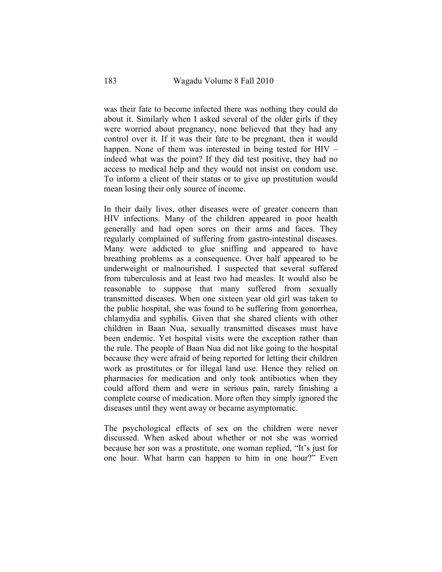was their fate to become infected there was nothing they could do about it. Similarly when I asked several of the older girls if they were worried about pregnancy, none believed that they had any control over it. If it was their fate to be pregnant, then it would happen. None of them was interested in being tested for HIV – indeed what was the point? If they did test positive, they had no access to medical help and they would not insist on condom use. To inform a client of their status or to give up prostitution would mean losing their only source of income.

In their daily lives, other diseases were of greater concern than HIV infections. Many of the children appeared in poor health generally and had open sores on their arms and faces. They regularly complained of suffering from gastro-intestinal diseases. Many were addicted to glue sniffing and appeared to have breathing problems as a consequence. Over half appeared to be underweight or malnourished. I suspected that several suffered from tuberculosis and at least two had measles. It would also be reasonable to suppose that many suffered from sexually transmitted diseases. When one sixteen year old girl was taken to the public hospital, she was found to be suffering from gonorrhea, chlamydia and syphilis. Given that she shared clients with other children in Baan Nua, sexually transmitted diseases must have been endemic. Yet hospital visits were the exception rather than the rule. The people of Baan Nua did not like going to the hospital because they were afraid of being reported for letting their children work as prostitutes or for illegal land use. Hence they relied on pharmacies for medication and only took antibiotics when they could afford them and were in serious pain, rarely finishing a complete course of medication. More often they simply ignored the diseases until they went away or became asymptomatic.

The psychological effects of sex on the children were never discussed. When asked about whether or not she was worried because her son was a prostitute, one woman replied, "It's just for one hour. What harm can happen to him in one hour?" Even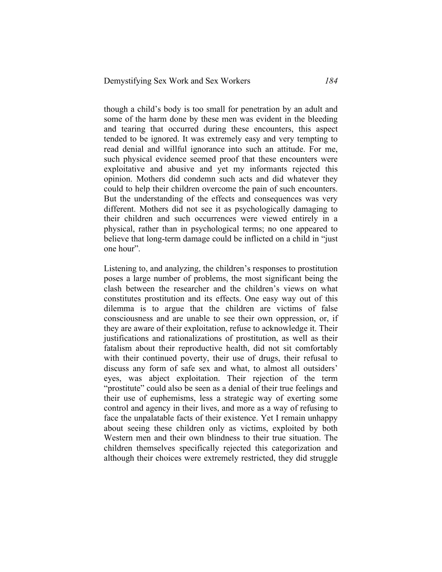though a child's body is too small for penetration by an adult and some of the harm done by these men was evident in the bleeding and tearing that occurred during these encounters, this aspect tended to be ignored. It was extremely easy and very tempting to read denial and willful ignorance into such an attitude. For me, such physical evidence seemed proof that these encounters were exploitative and abusive and yet my informants rejected this opinion. Mothers did condemn such acts and did whatever they could to help their children overcome the pain of such encounters. But the understanding of the effects and consequences was very different. Mothers did not see it as psychologically damaging to their children and such occurrences were viewed entirely in a physical, rather than in psychological terms; no one appeared to believe that long-term damage could be inflicted on a child in "just one hour".

Listening to, and analyzing, the children's responses to prostitution poses a large number of problems, the most significant being the clash between the researcher and the children's views on what constitutes prostitution and its effects. One easy way out of this dilemma is to argue that the children are victims of false consciousness and are unable to see their own oppression, or, if they are aware of their exploitation, refuse to acknowledge it. Their justifications and rationalizations of prostitution, as well as their fatalism about their reproductive health, did not sit comfortably with their continued poverty, their use of drugs, their refusal to discuss any form of safe sex and what, to almost all outsiders' eyes, was abject exploitation. Their rejection of the term "prostitute" could also be seen as a denial of their true feelings and their use of euphemisms, less a strategic way of exerting some control and agency in their lives, and more as a way of refusing to face the unpalatable facts of their existence. Yet I remain unhappy about seeing these children only as victims, exploited by both Western men and their own blindness to their true situation. The children themselves specifically rejected this categorization and although their choices were extremely restricted, they did struggle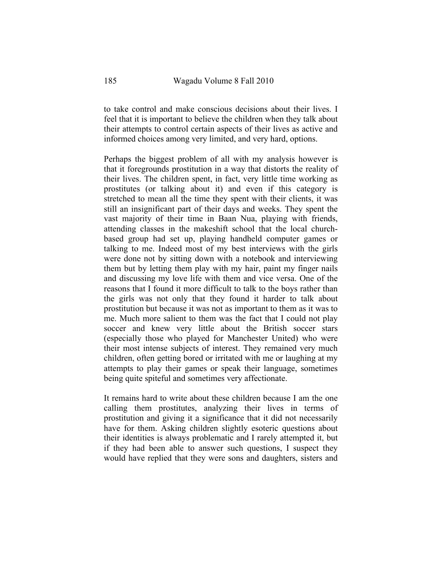to take control and make conscious decisions about their lives. I feel that it is important to believe the children when they talk about their attempts to control certain aspects of their lives as active and informed choices among very limited, and very hard, options.

Perhaps the biggest problem of all with my analysis however is that it foregrounds prostitution in a way that distorts the reality of their lives. The children spent, in fact, very little time working as prostitutes (or talking about it) and even if this category is stretched to mean all the time they spent with their clients, it was still an insignificant part of their days and weeks. They spent the vast majority of their time in Baan Nua, playing with friends, attending classes in the makeshift school that the local churchbased group had set up, playing handheld computer games or talking to me. Indeed most of my best interviews with the girls were done not by sitting down with a notebook and interviewing them but by letting them play with my hair, paint my finger nails and discussing my love life with them and vice versa. One of the reasons that I found it more difficult to talk to the boys rather than the girls was not only that they found it harder to talk about prostitution but because it was not as important to them as it was to me. Much more salient to them was the fact that I could not play soccer and knew very little about the British soccer stars (especially those who played for Manchester United) who were their most intense subjects of interest. They remained very much children, often getting bored or irritated with me or laughing at my attempts to play their games or speak their language, sometimes being quite spiteful and sometimes very affectionate.

It remains hard to write about these children because I am the one calling them prostitutes, analyzing their lives in terms of prostitution and giving it a significance that it did not necessarily have for them. Asking children slightly esoteric questions about their identities is always problematic and I rarely attempted it, but if they had been able to answer such questions, I suspect they would have replied that they were sons and daughters, sisters and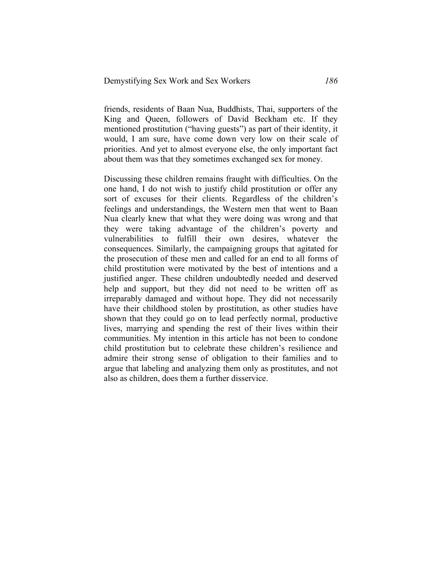friends, residents of Baan Nua, Buddhists, Thai, supporters of the King and Queen, followers of David Beckham etc. If they mentioned prostitution ("having guests") as part of their identity, it would, I am sure, have come down very low on their scale of priorities. And yet to almost everyone else, the only important fact about them was that they sometimes exchanged sex for money.

Discussing these children remains fraught with difficulties. On the one hand, I do not wish to justify child prostitution or offer any sort of excuses for their clients. Regardless of the children's feelings and understandings, the Western men that went to Baan Nua clearly knew that what they were doing was wrong and that they were taking advantage of the children's poverty and vulnerabilities to fulfill their own desires, whatever the consequences. Similarly, the campaigning groups that agitated for the prosecution of these men and called for an end to all forms of child prostitution were motivated by the best of intentions and a justified anger. These children undoubtedly needed and deserved help and support, but they did not need to be written off as irreparably damaged and without hope. They did not necessarily have their childhood stolen by prostitution, as other studies have shown that they could go on to lead perfectly normal, productive lives, marrying and spending the rest of their lives within their communities. My intention in this article has not been to condone child prostitution but to celebrate these children's resilience and admire their strong sense of obligation to their families and to argue that labeling and analyzing them only as prostitutes, and not also as children, does them a further disservice.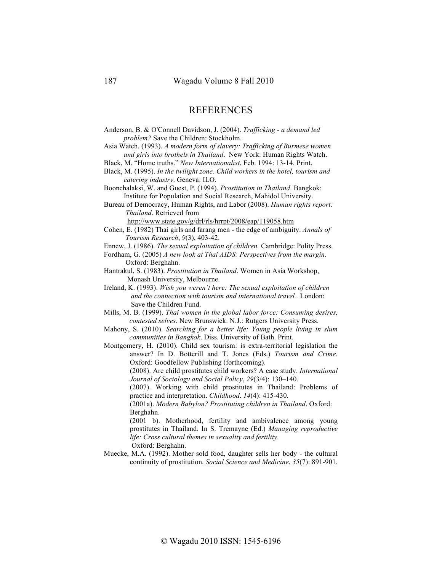### **REFERENCES**

- Anderson, B. & O'Connell Davidson, J. (2004). *Trafficking - a demand led problem?* Save the Children: Stockholm.
- Asia Watch. (1993). *A modern form of slavery: Trafficking of Burmese women and girls into brothels in Thailand*. New York: Human Rights Watch.
- Black, M. "Home truths." *New Internationalist*, Feb. 1994: 13-14. Print.
- Black, M. (1995). *In the twilight zone. Child workers in the hotel, tourism and catering industry*. Geneva: ILO.
- Boonchalaksi, W. and Guest, P. (1994). *Prostitution in Thailand*. Bangkok: Institute for Population and Social Research, Mahidol University.

Bureau of Democracy, Human Rights, and Labor (2008). *Human rights report: Thailand*. Retrieved from

http://www.state.gov/g/drl/rls/hrrpt/2008/eap/119058.htm

- Cohen, E. (1982) Thai girls and farang men the edge of ambiguity. *Annals of Tourism Research*, *9*(3), 403-42.
- Ennew, J. (1986). *The sexual exploitation of children.* Cambridge: Polity Press.
- Fordham, G. (2005) *A new look at Thai AIDS: Perspectives from the margin*. Oxford: Berghahn.
- Hantrakul, S. (1983). *Prostitution in Thailand*. Women in Asia Workshop, Monash University, Melbourne.
- Ireland, K. (1993). *Wish you weren't here: The sexual exploitation of children and the connection with tourism and international travel..* London: Save the Children Fund.
- Mills, M. B. (1999). *Thai women in the global labor force: Consuming desires, contested selves*. New Brunswick. N.J.: Rutgers University Press.
- Mahony, S. (2010). *Searching for a better life: Young people living in slum communities in Bangkok*. Diss. University of Bath. Print.
- Montgomery, H. (2010). Child sex tourism: is extra-territorial legislation the answer? In D. Botterill and T. Jones (Eds.) *Tourism and Crime*. Oxford: Goodfellow Publishing (forthcoming).

(2008). Are child prostitutes child workers? A case study. *International Journal of Sociology and Social Policy*, *29*(3/4): 130–140.

(2007). Working with child prostitutes in Thailand: Problems of practice and interpretation. *Childhood*. *14*(4): 415-430.

(2001a). *Modern Babylon? Prostituting children in Thailand*. Oxford: Berghahn.

(2001 b). Motherhood, fertility and ambivalence among young prostitutes in Thailand. In S. Tremayne (Ed.) *Managing reproductive life: Cross cultural themes in sexuality and fertility.*

Oxford: Berghahn.

Muecke, M.A. (1992). Mother sold food, daughter sells her body - the cultural continuity of prostitution. *Social Science and Medicine*, *35*(7): 891-901.